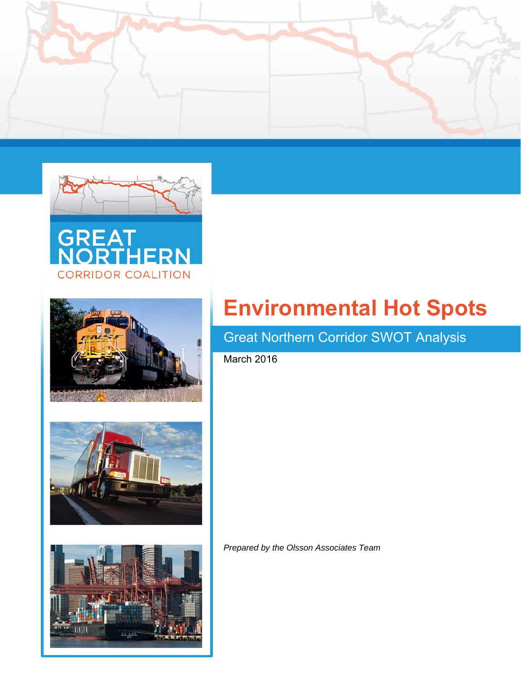











# Great Northern Corridor SWOT Analysis

March 2016

*Prepared by the Olsson Associates Team*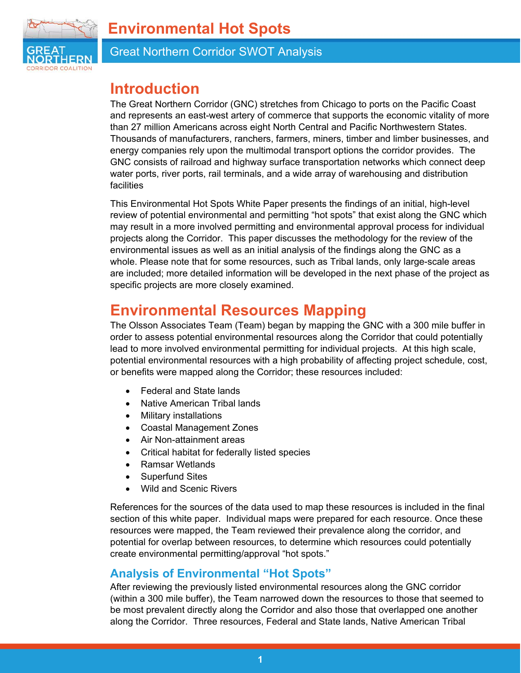

Great Northern Corridor SWOT Analysis

# **Introduction**

The Great Northern Corridor (GNC) stretches from Chicago to ports on the Pacific Coast and represents an east-west artery of commerce that supports the economic vitality of more than 27 million Americans across eight North Central and Pacific Northwestern States. Thousands of manufacturers, ranchers, farmers, miners, timber and limber businesses, and energy companies rely upon the multimodal transport options the corridor provides. The GNC consists of railroad and highway surface transportation networks which connect deep water ports, river ports, rail terminals, and a wide array of warehousing and distribution facilities

This Environmental Hot Spots White Paper presents the findings of an initial, high-level review of potential environmental and permitting "hot spots" that exist along the GNC which may result in a more involved permitting and environmental approval process for individual projects along the Corridor. This paper discusses the methodology for the review of the environmental issues as well as an initial analysis of the findings along the GNC as a whole. Please note that for some resources, such as Tribal lands, only large-scale areas are included; more detailed information will be developed in the next phase of the project as specific projects are more closely examined.

# **Environmental Resources Mapping**

The Olsson Associates Team (Team) began by mapping the GNC with a 300 mile buffer in order to assess potential environmental resources along the Corridor that could potentially lead to more involved environmental permitting for individual projects. At this high scale, potential environmental resources with a high probability of affecting project schedule, cost, or benefits were mapped along the Corridor; these resources included:

- Federal and State lands
- Native American Tribal lands
- Military installations
- Coastal Management Zones
- Air Non-attainment areas
- Critical habitat for federally listed species
- Ramsar Wetlands
- Superfund Sites
- Wild and Scenic Rivers

References for the sources of the data used to map these resources is included in the final section of this white paper. Individual maps were prepared for each resource. Once these resources were mapped, the Team reviewed their prevalence along the corridor, and potential for overlap between resources, to determine which resources could potentially create environmental permitting/approval "hot spots."

### **Analysis of Environmental "Hot Spots"**

After reviewing the previously listed environmental resources along the GNC corridor (within a 300 mile buffer), the Team narrowed down the resources to those that seemed to be most prevalent directly along the Corridor and also those that overlapped one another along the Corridor. Three resources, Federal and State lands, Native American Tribal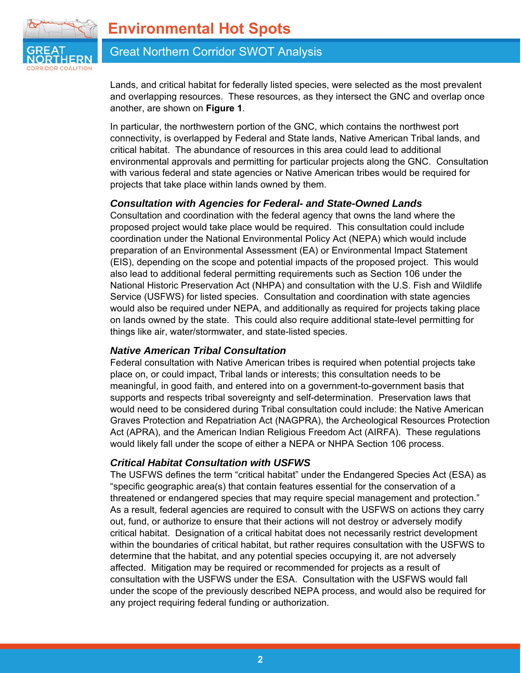

### Great Northern Corridor SWOT Analysis

Lands, and critical habitat for federally listed species, were selected as the most prevalent and overlapping resources. These resources, as they intersect the GNC and overlap once another, are shown on **Figure 1**.

In particular, the northwestern portion of the GNC, which contains the northwest port connectivity, is overlapped by Federal and State lands, Native American Tribal lands, and critical habitat. The abundance of resources in this area could lead to additional environmental approvals and permitting for particular projects along the GNC. Consultation with various federal and state agencies or Native American tribes would be required for projects that take place within lands owned by them.

### *Consultation with Agencies for Federal- and State-Owned Lands*

Consultation and coordination with the federal agency that owns the land where the proposed project would take place would be required. This consultation could include coordination under the National Environmental Policy Act (NEPA) which would include preparation of an Environmental Assessment (EA) or Environmental Impact Statement (EIS), depending on the scope and potential impacts of the proposed project. This would also lead to additional federal permitting requirements such as Section 106 under the National Historic Preservation Act (NHPA) and consultation with the U.S. Fish and Wildlife Service (USFWS) for listed species. Consultation and coordination with state agencies would also be required under NEPA, and additionally as required for projects taking place on lands owned by the state. This could also require additional state-level permitting for things like air, water/stormwater, and state-listed species.

### *Native American Tribal Consultation*

Federal consultation with Native American tribes is required when potential projects take place on, or could impact, Tribal lands or interests; this consultation needs to be meaningful, in good faith, and entered into on a government-to-government basis that supports and respects tribal sovereignty and self-determination. Preservation laws that would need to be considered during Tribal consultation could include: the Native American Graves Protection and Repatriation Act (NAGPRA), the Archeological Resources Protection Act (APRA), and the American Indian Religious Freedom Act (AIRFA). These regulations would likely fall under the scope of either a NEPA or NHPA Section 106 process.

### *Critical Habitat Consultation with USFWS*

The USFWS defines the term "critical habitat" under the Endangered Species Act (ESA) as "specific geographic area(s) that contain features essential for the conservation of a threatened or endangered species that may require special management and protection." As a result, federal agencies are required to consult with the USFWS on actions they carry out, fund, or authorize to ensure that their actions will not destroy or adversely modify critical habitat. Designation of a critical habitat does not necessarily restrict development within the boundaries of critical habitat, but rather requires consultation with the USFWS to determine that the habitat, and any potential species occupying it, are not adversely affected. Mitigation may be required or recommended for projects as a result of consultation with the USFWS under the ESA. Consultation with the USFWS would fall under the scope of the previously described NEPA process, and would also be required for any project requiring federal funding or authorization.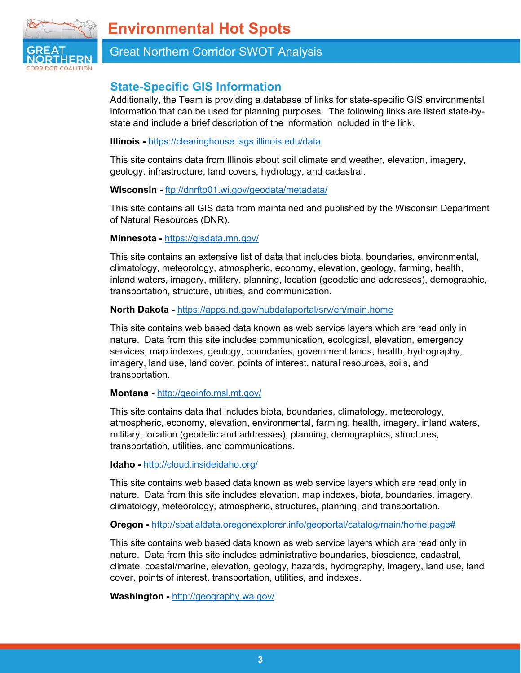

### Great Northern Corridor SWOT Analysis

### **State-Specific GIS Information**

Additionally, the Team is providing a database of links for state-specific GIS environmental information that can be used for planning purposes. The following links are listed state-bystate and include a brief description of the information included in the link.

#### **Illinois -** https://clearinghouse.isgs.illinois.edu/data

This site contains data from Illinois about soil climate and weather, elevation, imagery, geology, infrastructure, land covers, hydrology, and cadastral.

#### **Wisconsin -** ftp://dnrftp01.wi.gov/geodata/metadata/

This site contains all GIS data from maintained and published by the Wisconsin Department of Natural Resources (DNR).

#### **Minnesota -** https://gisdata.mn.gov/

This site contains an extensive list of data that includes biota, boundaries, environmental, climatology, meteorology, atmospheric, economy, elevation, geology, farming, health, inland waters, imagery, military, planning, location (geodetic and addresses), demographic, transportation, structure, utilities, and communication.

#### **North Dakota -** https://apps.nd.gov/hubdataportal/srv/en/main.home

This site contains web based data known as web service layers which are read only in nature. Data from this site includes communication, ecological, elevation, emergency services, map indexes, geology, boundaries, government lands, health, hydrography, imagery, land use, land cover, points of interest, natural resources, soils, and transportation.

#### **Montana -** http://geoinfo.msl.mt.gov/

This site contains data that includes biota, boundaries, climatology, meteorology, atmospheric, economy, elevation, environmental, farming, health, imagery, inland waters, military, location (geodetic and addresses), planning, demographics, structures, transportation, utilities, and communications.

**Idaho -** http://cloud.insideidaho.org/

This site contains web based data known as web service layers which are read only in nature. Data from this site includes elevation, map indexes, biota, boundaries, imagery, climatology, meteorology, atmospheric, structures, planning, and transportation.

**Oregon -** http://spatialdata.oregonexplorer.info/geoportal/catalog/main/home.page#

This site contains web based data known as web service layers which are read only in nature. Data from this site includes administrative boundaries, bioscience, cadastral, climate, coastal/marine, elevation, geology, hazards, hydrography, imagery, land use, land cover, points of interest, transportation, utilities, and indexes.

**Washington -** http://geography.wa.gov/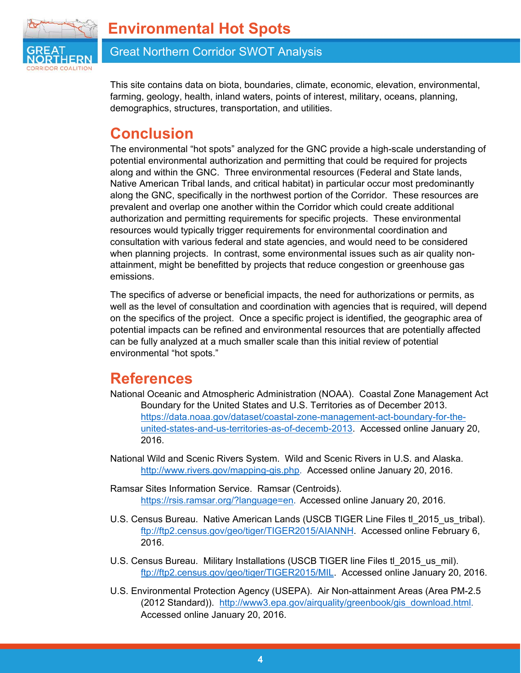

### Great Northern Corridor SWOT Analysis

This site contains data on biota, boundaries, climate, economic, elevation, environmental, farming, geology, health, inland waters, points of interest, military, oceans, planning, demographics, structures, transportation, and utilities.

# **Conclusion**

The environmental "hot spots" analyzed for the GNC provide a high-scale understanding of potential environmental authorization and permitting that could be required for projects along and within the GNC. Three environmental resources (Federal and State lands, Native American Tribal lands, and critical habitat) in particular occur most predominantly along the GNC, specifically in the northwest portion of the Corridor. These resources are prevalent and overlap one another within the Corridor which could create additional authorization and permitting requirements for specific projects. These environmental resources would typically trigger requirements for environmental coordination and consultation with various federal and state agencies, and would need to be considered when planning projects. In contrast, some environmental issues such as air quality nonattainment, might be benefitted by projects that reduce congestion or greenhouse gas emissions.

The specifics of adverse or beneficial impacts, the need for authorizations or permits, as well as the level of consultation and coordination with agencies that is required, will depend on the specifics of the project. Once a specific project is identified, the geographic area of potential impacts can be refined and environmental resources that are potentially affected can be fully analyzed at a much smaller scale than this initial review of potential environmental "hot spots."

# **References**

- National Oceanic and Atmospheric Administration (NOAA). Coastal Zone Management Act Boundary for the United States and U.S. Territories as of December 2013. https://data.noaa.gov/dataset/coastal-zone-management-act-boundary-for-theunited-states-and-us-territories-as-of-decemb-2013. Accessed online January 20, 2016.
- National Wild and Scenic Rivers System. Wild and Scenic Rivers in U.S. and Alaska. http://www.rivers.gov/mapping-gis.php. Accessed online January 20, 2016.
- Ramsar Sites Information Service. Ramsar (Centroids). https://rsis.ramsar.org/?language=en. Accessed online January 20, 2016.
- U.S. Census Bureau. Native American Lands (USCB TIGER Line Files tl 2015 us tribal). ftp://ftp2.census.gov/geo/tiger/TIGER2015/AIANNH. Accessed online February 6, 2016.
- U.S. Census Bureau. Military Installations (USCB TIGER line Files tl 2015 us mil). ftp://ftp2.census.gov/geo/tiger/TIGER2015/MIL. Accessed online January 20, 2016.
- U.S. Environmental Protection Agency (USEPA). Air Non-attainment Areas (Area PM-2.5 (2012 Standard)). http://www3.epa.gov/airquality/greenbook/gis\_download.html. Accessed online January 20, 2016.